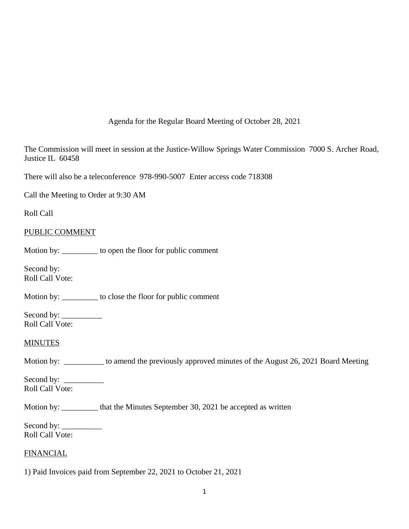Agenda for the Regular Board Meeting of October 28, 2021

The Commission will meet in session at the Justice-Willow Springs Water Commission 7000 S. Archer Road, Justice IL 60458

There will also be a teleconference 978-990-5007 Enter access code 718308

Call the Meeting to Order at 9:30 AM

Roll Call

# PUBLIC COMMENT

Motion by: \_\_\_\_\_\_\_\_\_ to open the floor for public comment

Second by: Roll Call Vote:

Motion by: \_\_\_\_\_\_\_\_\_ to close the floor for public comment

Second by: \_\_\_\_\_\_\_\_\_\_ Roll Call Vote:

### MINUTES

Motion by: \_\_\_\_\_\_\_\_\_\_ to amend the previously approved minutes of the August 26, 2021 Board Meeting

Second by: \_\_\_\_\_\_\_\_\_\_ Roll Call Vote:

Motion by: \_\_\_\_\_\_\_\_\_ that the Minutes September 30, 2021 be accepted as written

Second by: \_\_\_\_\_\_\_\_\_\_ Roll Call Vote:

# FINANCIAL

1) Paid Invoices paid from September 22, 2021 to October 21, 2021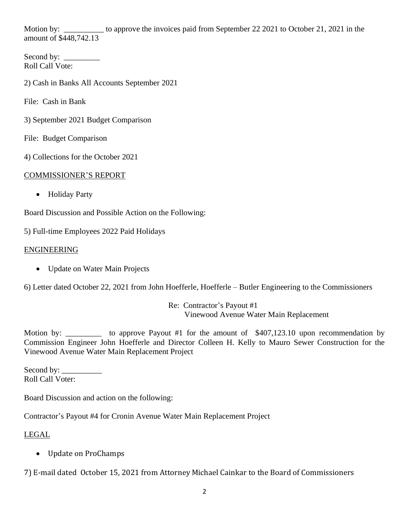Motion by: \_\_\_\_\_\_\_\_\_\_ to approve the invoices paid from September 22 2021 to October 21, 2021 in the amount of \$448,742.13

Second by: \_\_\_\_\_\_\_\_\_ Roll Call Vote:

2) Cash in Banks All Accounts September 2021

File: Cash in Bank

3) September 2021 Budget Comparison

File: Budget Comparison

4) Collections for the October 2021

### COMMISSIONER'S REPORT

• Holiday Party

Board Discussion and Possible Action on the Following:

5) Full-time Employees 2022 Paid Holidays

## ENGINEERING

• Update on Water Main Projects

6) Letter dated October 22, 2021 from John Hoefferle, Hoefferle – Butler Engineering to the Commissioners

Re: Contractor's Payout #1 Vinewood Avenue Water Main Replacement

Motion by: \_\_\_\_\_\_\_\_\_ to approve Payout #1 for the amount of \$407,123.10 upon recommendation by Commission Engineer John Hoefferle and Director Colleen H. Kelly to Mauro Sewer Construction for the Vinewood Avenue Water Main Replacement Project

Second by: Roll Call Voter:

Board Discussion and action on the following:

Contractor's Payout #4 for Cronin Avenue Water Main Replacement Project

# LEGAL

• Update on ProChamps

7) E-mail dated October 15, 2021 from Attorney Michael Cainkar to the Board of Commissioners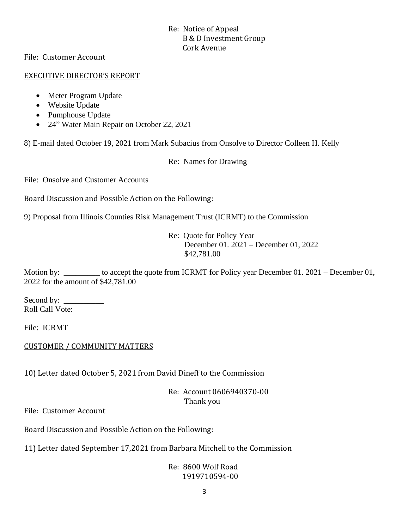# Re: Notice of Appeal B & D Investment Group Cork Avenue

File: Customer Account

## EXECUTIVE DIRECTOR'S REPORT

- Meter Program Update
- Website Update
- Pumphouse Update
- 24" Water Main Repair on October 22, 2021

8) E-mail dated October 19, 2021 from Mark Subacius from Onsolve to Director Colleen H. Kelly

Re: Names for Drawing

File: Onsolve and Customer Accounts

Board Discussion and Possible Action on the Following:

9) Proposal from Illinois Counties Risk Management Trust (ICRMT) to the Commission

Re: Quote for Policy Year December 01. 2021 – December 01, 2022 \$42,781.00

Motion by: to accept the quote from ICRMT for Policy year December 01. 2021 – December 01, 2022 for the amount of \$42,781.00

Second by: \_\_\_\_\_\_\_\_\_\_ Roll Call Vote:

File: ICRMT

# CUSTOMER / COMMUNITY MATTERS

10) Letter dated October 5, 2021 from David Dineff to the Commission

Re: Account 0606940370-00 Thank you

File: Customer Account

Board Discussion and Possible Action on the Following:

11) Letter dated September 17,2021 from Barbara Mitchell to the Commission

# Re: 8600 Wolf Road 1919710594-00